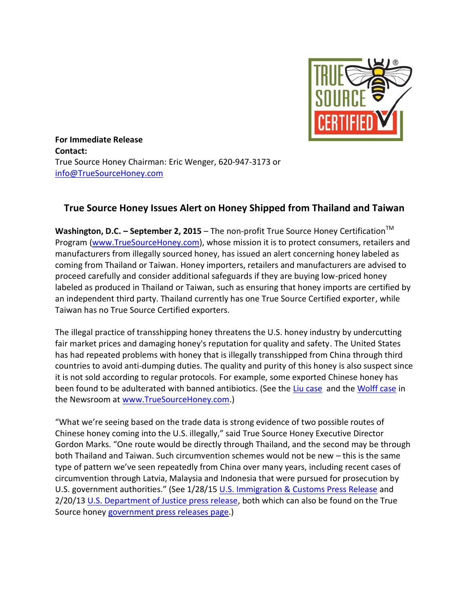

**For Immediate Release Contact:** True Source Honey Chairman: Eric Wenger, 620-947-3173 or [info@TrueSourceHoney.com](mailto:info@TrueSourceHoney.com)

## **True Source Honey Issues Alert on Honey Shipped from Thailand and Taiwan**

**Washington, D.C. − September 2, 2015** – The non-profit True Source Honey Certification<sup>™</sup> Program [\(www.TrueSourceHoney.com\)](http://www.truesourcehoney.com/), whose mission it is to protect consumers, retailers and manufacturers from illegally sourced honey, has issued an alert concerning honey labeled as coming from Thailand or Taiwan. Honey importers, retailers and manufacturers are advised to proceed carefully and consider additional safeguards if they are buying low-priced honey labeled as produced in Thailand or Taiwan, such as ensuring that honey imports are certified by an independent third party. Thailand currently has one True Source Certified exporter, while Taiwan has no True Source Certified exporters.

The illegal practice of transshipping honey threatens the U.S. honey industry by undercutting fair market prices and damaging honey's reputation for quality and safety. The United States has had repeated problems with honey that is illegally transshipped from China through third countries to avoid anti-dumping duties. The quality and purity of this honey is also suspect since it is not sold according to regular protocols. For example, some exported Chinese honey has been found to be adulterated with banned antibiotics. (See the [Liu case](http://www.truesourcehoney.com/newsroom/Lui_sentencing_outcome%20press_release.pdf) and the [Wolff case](http://www.ice.gov/news/releases/11-individuals-6-companies-indicted-alleged-global-conspiracy-illegally-import-chinese) in the Newsroom at [www.TrueSourceHoney.com.](http://www.truesourcehoney.com/))

"What we're seeing based on the trade data is strong evidence of two possible routes of Chinese honey coming into the U.S. illegally," said True Source Honey Executive Director Gordon Marks. "One route would be directly through Thailand, and the second may be through both Thailand and Taiwan. Such circumvention schemes would not be new – this is the same type of pattern we've seen repeatedly from China over many years, including recent cases of circumvention through Latvia, Malaysia and Indonesia that were pursued for prosecution by U.S. government authorities." (See 1/28/15 [U.S. Immigration & Customs Press Release](http://www.ice.gov/news/releases/ice-cbp-houston-seize-illegally-imported-honey-valued-245-million) and 2/20/13 [U.S. Department of Justice press release,](http://www.truesourcehoney.com/newsroom/2013-02-20.pdf) both which can also be found on the True Source honey [government press releases page.](http://www.truesourcehoney.com/newsroom/govt_releases_others.php))